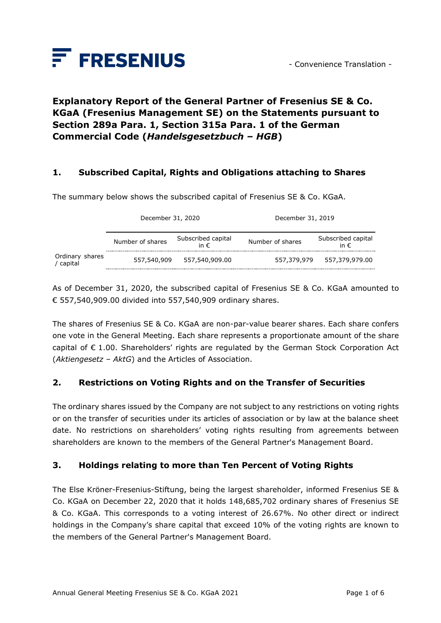

# **Explanatory Report of the General Partner of Fresenius SE & Co. KGaA (Fresenius Management SE) on the Statements pursuant to Section 289a Para. 1, Section 315a Para. 1 of the German Commercial Code (***Handelsgesetzbuch – HGB***)**

### **1. Subscribed Capital, Rights and Obligations attaching to Shares**

The summary below shows the subscribed capital of Fresenius SE & Co. KGaA.

|                            | December 31, 2020 |                                     | December 31, 2019 |                                     |
|----------------------------|-------------------|-------------------------------------|-------------------|-------------------------------------|
|                            | Number of shares  | Subscribed capital<br>in $\epsilon$ | Number of shares  | Subscribed capital<br>in $\epsilon$ |
| Ordinary shares<br>capital | 557,540,909       | 557,540,909.00                      | 557,379,979       | 557,379,979.00                      |

As of December 31, 2020, the subscribed capital of Fresenius SE & Co. KGaA amounted to € 557,540,909.00 divided into 557,540,909 ordinary shares.

The shares of Fresenius SE & Co. KGaA are non-par-value bearer shares. Each share confers one vote in the General Meeting. Each share represents a proportionate amount of the share capital of  $\epsilon$  1.00. Shareholders' rights are regulated by the German Stock Corporation Act (*Aktiengesetz – AktG*) and the Articles of Association.

### **2. Restrictions on Voting Rights and on the Transfer of Securities**

The ordinary shares issued by the Company are not subject to any restrictions on voting rights or on the transfer of securities under its articles of association or by law at the balance sheet date. No restrictions on shareholders' voting rights resulting from agreements between shareholders are known to the members of the General Partner's Management Board.

### **3. Holdings relating to more than Ten Percent of Voting Rights**

The Else Kröner-Fresenius-Stiftung, being the largest shareholder, informed Fresenius SE & Co. KGaA on December 22, 2020 that it holds 148,685,702 ordinary shares of Fresenius SE & Co. KGaA. This corresponds to a voting interest of 26.67%. No other direct or indirect holdings in the Company's share capital that exceed 10% of the voting rights are known to the members of the General Partner's Management Board.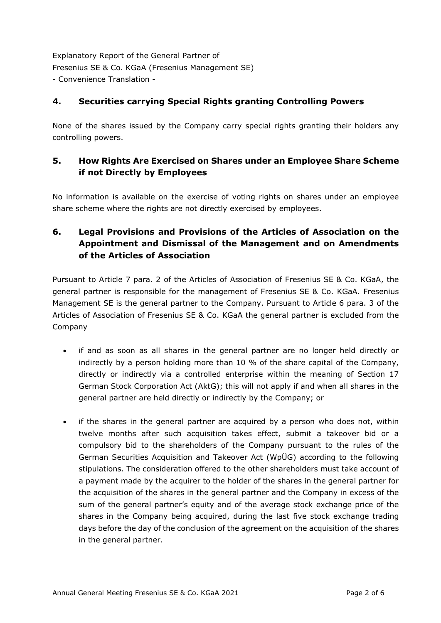## **4. Securities carrying Special Rights granting Controlling Powers**

None of the shares issued by the Company carry special rights granting their holders any controlling powers.

## **5. How Rights Are Exercised on Shares under an Employee Share Scheme if not Directly by Employees**

No information is available on the exercise of voting rights on shares under an employee share scheme where the rights are not directly exercised by employees.

# **6. Legal Provisions and Provisions of the Articles of Association on the Appointment and Dismissal of the Management and on Amendments of the Articles of Association**

Pursuant to Article 7 para. 2 of the Articles of Association of Fresenius SE & Co. KGaA, the general partner is responsible for the management of Fresenius SE & Co. KGaA. Fresenius Management SE is the general partner to the Company. Pursuant to Article 6 para. 3 of the Articles of Association of Fresenius SE & Co. KGaA the general partner is excluded from the Company

- if and as soon as all shares in the general partner are no longer held directly or indirectly by a person holding more than 10 % of the share capital of the Company, directly or indirectly via a controlled enterprise within the meaning of Section 17 German Stock Corporation Act (AktG); this will not apply if and when all shares in the general partner are held directly or indirectly by the Company; or
- if the shares in the general partner are acquired by a person who does not, within twelve months after such acquisition takes effect, submit a takeover bid or a compulsory bid to the shareholders of the Company pursuant to the rules of the German Securities Acquisition and Takeover Act (WpÜG) according to the following stipulations. The consideration offered to the other shareholders must take account of a payment made by the acquirer to the holder of the shares in the general partner for the acquisition of the shares in the general partner and the Company in excess of the sum of the general partner's equity and of the average stock exchange price of the shares in the Company being acquired, during the last five stock exchange trading days before the day of the conclusion of the agreement on the acquisition of the shares in the general partner.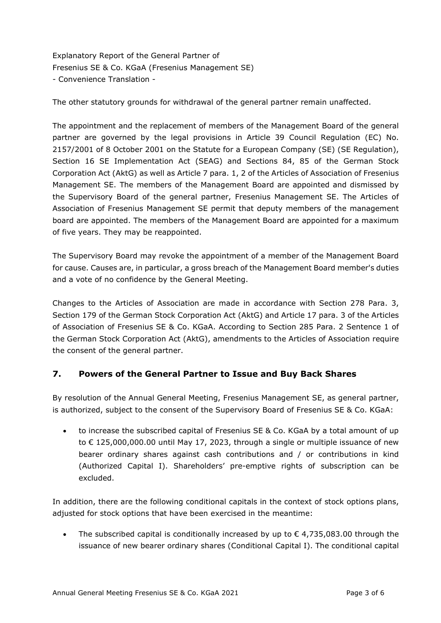The other statutory grounds for withdrawal of the general partner remain unaffected.

The appointment and the replacement of members of the Management Board of the general partner are governed by the legal provisions in Article 39 Council Regulation (EC) No. 2157/2001 of 8 October 2001 on the Statute for a European Company (SE) (SE Regulation), Section 16 SE Implementation Act (SEAG) and Sections 84, 85 of the German Stock Corporation Act (AktG) as well as Article 7 para. 1, 2 of the Articles of Association of Fresenius Management SE. The members of the Management Board are appointed and dismissed by the Supervisory Board of the general partner, Fresenius Management SE. The Articles of Association of Fresenius Management SE permit that deputy members of the management board are appointed. The members of the Management Board are appointed for a maximum of five years. They may be reappointed.

The Supervisory Board may revoke the appointment of a member of the Management Board for cause. Causes are, in particular, a gross breach of the Management Board member's duties and a vote of no confidence by the General Meeting.

Changes to the Articles of Association are made in accordance with Section 278 Para. 3, Section 179 of the German Stock Corporation Act (AktG) and Article 17 para. 3 of the Articles of Association of Fresenius SE & Co. KGaA. According to Section 285 Para. 2 Sentence 1 of the German Stock Corporation Act (AktG), amendments to the Articles of Association require the consent of the general partner.

## **7. Powers of the General Partner to Issue and Buy Back Shares**

By resolution of the Annual General Meeting, Fresenius Management SE, as general partner, is authorized, subject to the consent of the Supervisory Board of Fresenius SE & Co. KGaA:

• to increase the subscribed capital of Fresenius SE & Co. KGaA by a total amount of up to € 125,000,000.00 until May 17, 2023, through a single or multiple issuance of new bearer ordinary shares against cash contributions and / or contributions in kind (Authorized Capital I). Shareholders' pre-emptive rights of subscription can be excluded.

In addition, there are the following conditional capitals in the context of stock options plans, adjusted for stock options that have been exercised in the meantime:

The subscribed capital is conditionally increased by up to  $\epsilon$  4,735,083.00 through the issuance of new bearer ordinary shares (Conditional Capital I). The conditional capital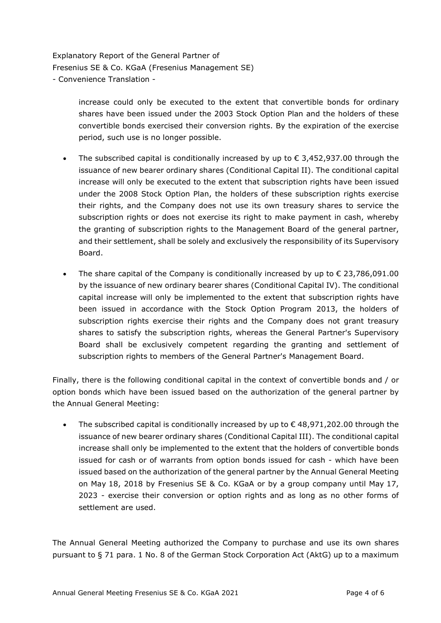> increase could only be executed to the extent that convertible bonds for ordinary shares have been issued under the 2003 Stock Option Plan and the holders of these convertible bonds exercised their conversion rights. By the expiration of the exercise period, such use is no longer possible.

- The subscribed capital is conditionally increased by up to  $\epsilon$  3,452,937.00 through the issuance of new bearer ordinary shares (Conditional Capital II). The conditional capital increase will only be executed to the extent that subscription rights have been issued under the 2008 Stock Option Plan, the holders of these subscription rights exercise their rights, and the Company does not use its own treasury shares to service the subscription rights or does not exercise its right to make payment in cash, whereby the granting of subscription rights to the Management Board of the general partner, and their settlement, shall be solely and exclusively the responsibility of its Supervisory Board.
- The share capital of the Company is conditionally increased by up to  $\epsilon$  23,786,091.00 by the issuance of new ordinary bearer shares (Conditional Capital IV). The conditional capital increase will only be implemented to the extent that subscription rights have been issued in accordance with the Stock Option Program 2013, the holders of subscription rights exercise their rights and the Company does not grant treasury shares to satisfy the subscription rights, whereas the General Partner's Supervisory Board shall be exclusively competent regarding the granting and settlement of subscription rights to members of the General Partner's Management Board.

Finally, there is the following conditional capital in the context of convertible bonds and / or option bonds which have been issued based on the authorization of the general partner by the Annual General Meeting:

The subscribed capital is conditionally increased by up to  $\epsilon$  48,971,202.00 through the issuance of new bearer ordinary shares (Conditional Capital III). The conditional capital increase shall only be implemented to the extent that the holders of convertible bonds issued for cash or of warrants from option bonds issued for cash - which have been issued based on the authorization of the general partner by the Annual General Meeting on May 18, 2018 by Fresenius SE & Co. KGaA or by a group company until May 17, 2023 - exercise their conversion or option rights and as long as no other forms of settlement are used.

The Annual General Meeting authorized the Company to purchase and use its own shares pursuant to § 71 para. 1 No. 8 of the German Stock Corporation Act (AktG) up to a maximum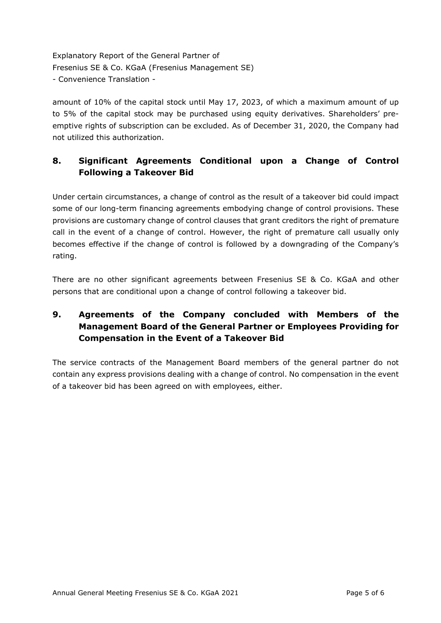amount of 10% of the capital stock until May 17, 2023, of which a maximum amount of up to 5% of the capital stock may be purchased using equity derivatives. Shareholders' preemptive rights of subscription can be excluded. As of December 31, 2020, the Company had not utilized this authorization.

# **8. Significant Agreements Conditional upon a Change of Control Following a Takeover Bid**

Under certain circumstances, a change of control as the result of a takeover bid could impact some of our long-term financing agreements embodying change of control provisions. These provisions are customary change of control clauses that grant creditors the right of premature call in the event of a change of control. However, the right of premature call usually only becomes effective if the change of control is followed by a downgrading of the Company's rating.

There are no other significant agreements between Fresenius SE & Co. KGaA and other persons that are conditional upon a change of control following a takeover bid.

# **9. Agreements of the Company concluded with Members of the Management Board of the General Partner or Employees Providing for Compensation in the Event of a Takeover Bid**

The service contracts of the Management Board members of the general partner do not contain any express provisions dealing with a change of control. No compensation in the event of a takeover bid has been agreed on with employees, either.